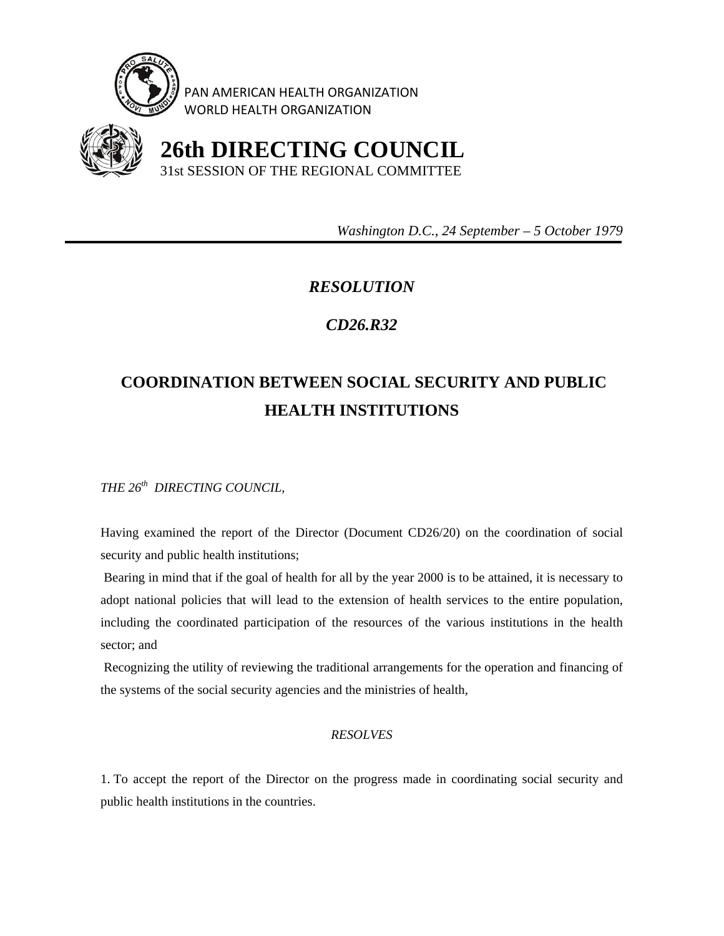

PAN AMERICAN HEALTH ORGANIZATION WORLD HEALTH ORGANIZATION



 **26th DIRECTING COUNCIL** 31st SESSION OF THE REGIONAL COMMITTEE

 *Washington D.C., 24 September – 5 October 1979* 

## *RESOLUTION*

## *CD26.R32*

## **COORDINATION BETWEEN SOCIAL SECURITY AND PUBLIC HEALTH INSTITUTIONS**

*THE 26th DIRECTING COUNCIL,* 

Having examined the report of the Director (Document CD26/20) on the coordination of social security and public health institutions;

 Bearing in mind that if the goal of health for all by the year 2000 is to be attained, it is necessary to adopt national policies that will lead to the extension of health services to the entire population, including the coordinated participation of the resources of the various institutions in the health sector; and

 Recognizing the utility of reviewing the traditional arrangements for the operation and financing of the systems of the social security agencies and the ministries of health,

## *RESOLVES*

1. To accept the report of the Director on the progress made in coordinating social security and public health institutions in the countries.